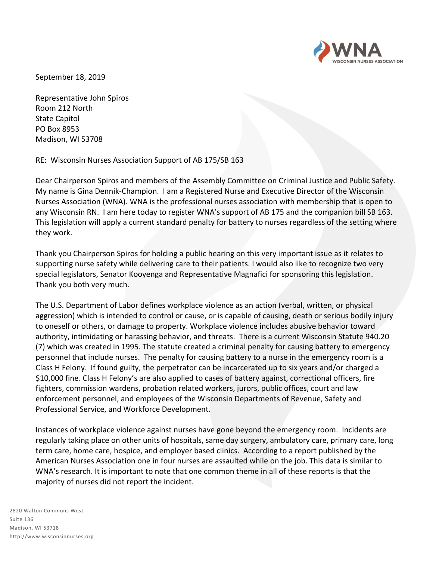

September 18, 2019

Representative John Spiros Room 212 North State Capitol PO Box 8953 Madison, WI 53708

RE: Wisconsin Nurses Association Support of AB 175/SB 163

Dear Chairperson Spiros and members of the Assembly Committee on Criminal Justice and Public Safety. My name is Gina Dennik-Champion. I am a Registered Nurse and Executive Director of the Wisconsin Nurses Association (WNA). WNA is the professional nurses association with membership that is open to any Wisconsin RN. I am here today to register WNA's support of AB 175 and the companion bill SB 163. This legislation will apply a current standard penalty for battery to nurses regardless of the setting where they work.

Thank you Chairperson Spiros for holding a public hearing on this very important issue as it relates to supporting nurse safety while delivering care to their patients. I would also like to recognize two very special legislators, Senator Kooyenga and Representative Magnafici for sponsoring this legislation. Thank you both very much.

The U.S. Department of Labor defines workplace violence as an action (verbal, written, or physical aggression) which is intended to control or cause, or is capable of causing, death or serious bodily injury to oneself or others, or damage to property. Workplace violence includes abusive behavior toward authority, intimidating or harassing behavior, and threats. There is a current Wisconsin Statute 940.20 (7) which was created in 1995. The statute created a criminal penalty for causing battery to emergency personnel that include nurses. The penalty for causing battery to a nurse in the emergency room is a Class H Felony. If found guilty, the perpetrator can be incarcerated up to six years and/or charged a \$10,000 fine. Class H Felony's are also applied to cases of battery against, correctional officers, fire fighters, commission wardens, probation related workers, jurors, public offices, court and law enforcement personnel, and employees of the Wisconsin Departments of Revenue, Safety and Professional Service, and Workforce Development.

Instances of workplace violence against nurses have gone beyond the emergency room. Incidents are regularly taking place on other units of hospitals, same day surgery, ambulatory care, primary care, long term care, home care, hospice, and employer based clinics. According to a report published by the American Nurses Association one in four nurses are assaulted while on the job. This data is similar to WNA's research. It is important to note that one common theme in all of these reports is that the majority of nurses did not report the incident.